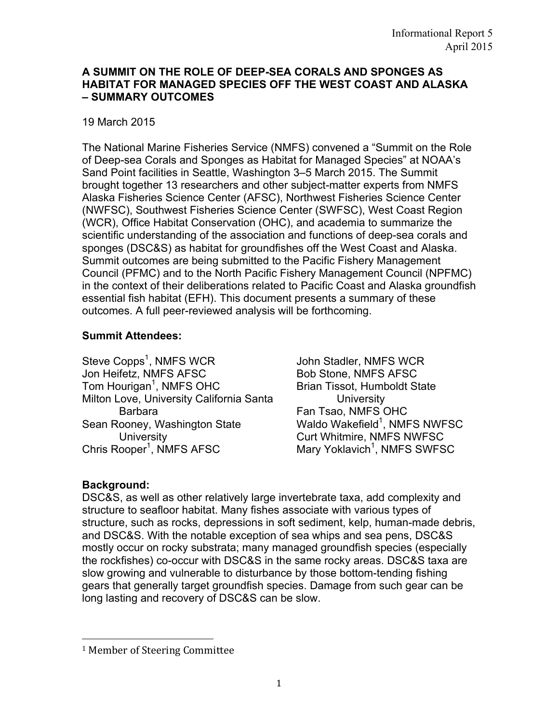#### **A SUMMIT ON THE ROLE OF DEEP-SEA CORALS AND SPONGES AS HABITAT FOR MANAGED SPECIES OFF THE WEST COAST AND ALASKA – SUMMARY OUTCOMES**

### 19 March 2015

The National Marine Fisheries Service (NMFS) convened a "Summit on the Role of Deep-sea Corals and Sponges as Habitat for Managed Species" at NOAA's Sand Point facilities in Seattle, Washington 3–5 March 2015. The Summit brought together 13 researchers and other subject-matter experts from NMFS Alaska Fisheries Science Center (AFSC), Northwest Fisheries Science Center (NWFSC), Southwest Fisheries Science Center (SWFSC), West Coast Region (WCR), Office Habitat Conservation (OHC), and academia to summarize the scientific understanding of the association and functions of deep-sea corals and sponges (DSC&S) as habitat for groundfishes off the West Coast and Alaska. Summit outcomes are being submitted to the Pacific Fishery Management Council (PFMC) and to the North Pacific Fishery Management Council (NPFMC) in the context of their deliberations related to Pacific Coast and Alaska groundfish essential fish habitat (EFH). This document presents a summary of these outcomes. A full peer-reviewed analysis will be forthcoming.

### **Summit Attendees:**

Steve Copps<sup>1</sup>, NMFS WCR Jon Heifetz, NMFS AFSC Tom Hourigan<sup>1</sup>, NMFS OHC Milton Love, University California Santa Barbara Sean Rooney, Washington State **University** Chris Rooper<sup>1</sup>, NMFS AFSC

John Stadler, NMFS WCR Bob Stone, NMFS AFSC Brian Tissot, Humboldt State **University** Fan Tsao, NMFS OHC Waldo Wakefield $^1$ , NMFS NWFSC Curt Whitmire, NMFS NWFSC Mary Yoklavich<sup>1</sup>, NMFS SWFSC

# **Background:**

DSC&S, as well as other relatively large invertebrate taxa, add complexity and structure to seafloor habitat. Many fishes associate with various types of structure, such as rocks, depressions in soft sediment, kelp, human-made debris, and DSC&S. With the notable exception of sea whips and sea pens, DSC&S mostly occur on rocky substrata; many managed groundfish species (especially the rockfishes) co-occur with DSC&S in the same rocky areas. DSC&S taxa are slow growing and vulnerable to disturbance by those bottom-tending fishing gears that generally target groundfish species. Damage from such gear can be long lasting and recovery of DSC&S can be slow.

<u> 1989 - Johann Stein, marwolaethau a bh</u>

<sup>&</sup>lt;sup>1</sup> Member of Steering Committee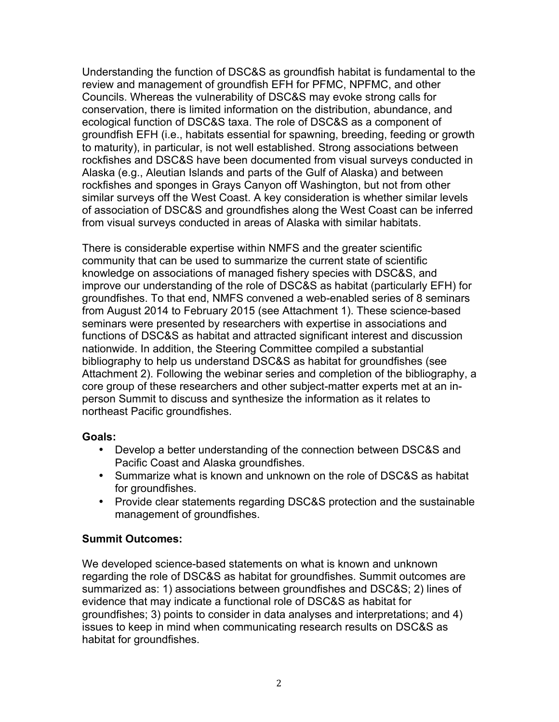Understanding the function of DSC&S as groundfish habitat is fundamental to the review and management of groundfish EFH for PFMC, NPFMC, and other Councils. Whereas the vulnerability of DSC&S may evoke strong calls for conservation, there is limited information on the distribution, abundance, and ecological function of DSC&S taxa. The role of DSC&S as a component of groundfish EFH (i.e., habitats essential for spawning, breeding, feeding or growth to maturity), in particular, is not well established. Strong associations between rockfishes and DSC&S have been documented from visual surveys conducted in Alaska (e.g., Aleutian Islands and parts of the Gulf of Alaska) and between rockfishes and sponges in Grays Canyon off Washington, but not from other similar surveys off the West Coast. A key consideration is whether similar levels of association of DSC&S and groundfishes along the West Coast can be inferred from visual surveys conducted in areas of Alaska with similar habitats.

There is considerable expertise within NMFS and the greater scientific community that can be used to summarize the current state of scientific knowledge on associations of managed fishery species with DSC&S, and improve our understanding of the role of DSC&S as habitat (particularly EFH) for groundfishes. To that end, NMFS convened a web-enabled series of 8 seminars from August 2014 to February 2015 (see Attachment 1). These science-based seminars were presented by researchers with expertise in associations and functions of DSC&S as habitat and attracted significant interest and discussion nationwide. In addition, the Steering Committee compiled a substantial bibliography to help us understand DSC&S as habitat for groundfishes (see Attachment 2). Following the webinar series and completion of the bibliography, a core group of these researchers and other subject-matter experts met at an inperson Summit to discuss and synthesize the information as it relates to northeast Pacific groundfishes.

#### **Goals:**

- Develop a better understanding of the connection between DSC&S and Pacific Coast and Alaska groundfishes.
- Summarize what is known and unknown on the role of DSC&S as habitat for groundfishes.
- Provide clear statements regarding DSC&S protection and the sustainable management of groundfishes.

# **Summit Outcomes:**

We developed science-based statements on what is known and unknown regarding the role of DSC&S as habitat for groundfishes. Summit outcomes are summarized as: 1) associations between groundfishes and DSC&S; 2) lines of evidence that may indicate a functional role of DSC&S as habitat for groundfishes; 3) points to consider in data analyses and interpretations; and 4) issues to keep in mind when communicating research results on DSC&S as habitat for groundfishes.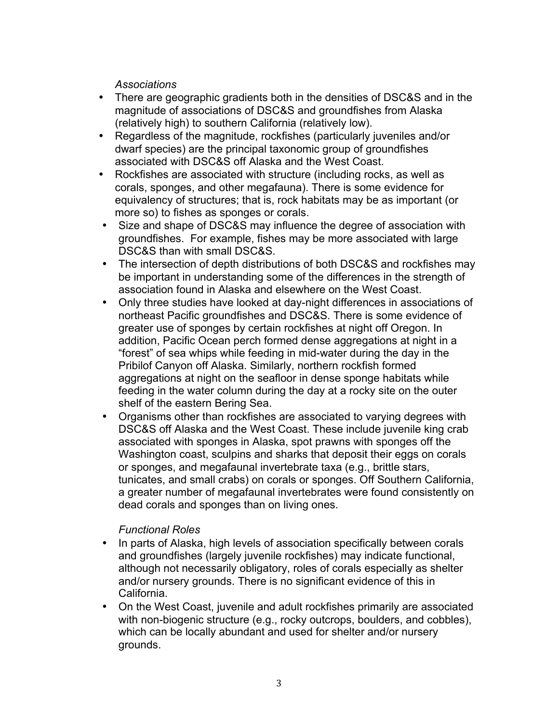*Associations*

- There are geographic gradients both in the densities of DSC&S and in the magnitude of associations of DSC&S and groundfishes from Alaska (relatively high) to southern California (relatively low).
- Regardless of the magnitude, rockfishes (particularly juveniles and/or dwarf species) are the principal taxonomic group of groundfishes associated with DSC&S off Alaska and the West Coast.
- Rockfishes are associated with structure (including rocks, as well as corals, sponges, and other megafauna). There is some evidence for equivalency of structures; that is, rock habitats may be as important (or more so) to fishes as sponges or corals.
- Size and shape of DSC&S may influence the degree of association with groundfishes. For example, fishes may be more associated with large DSC&S than with small DSC&S.
- The intersection of depth distributions of both DSC&S and rockfishes may be important in understanding some of the differences in the strength of association found in Alaska and elsewhere on the West Coast.
- Only three studies have looked at day-night differences in associations of northeast Pacific groundfishes and DSC&S. There is some evidence of greater use of sponges by certain rockfishes at night off Oregon. In addition, Pacific Ocean perch formed dense aggregations at night in a "forest" of sea whips while feeding in mid-water during the day in the Pribilof Canyon off Alaska. Similarly, northern rockfish formed aggregations at night on the seafloor in dense sponge habitats while feeding in the water column during the day at a rocky site on the outer shelf of the eastern Bering Sea.
- Organisms other than rockfishes are associated to varying degrees with DSC&S off Alaska and the West Coast. These include juvenile king crab associated with sponges in Alaska, spot prawns with sponges off the Washington coast, sculpins and sharks that deposit their eggs on corals or sponges, and megafaunal invertebrate taxa (e.g., brittle stars, tunicates, and small crabs) on corals or sponges. Off Southern California, a greater number of megafaunal invertebrates were found consistently on dead corals and sponges than on living ones.

### *Functional Roles*

- In parts of Alaska, high levels of association specifically between corals and groundfishes (largely juvenile rockfishes) may indicate functional, although not necessarily obligatory, roles of corals especially as shelter and/or nursery grounds. There is no significant evidence of this in California.
- On the West Coast, juvenile and adult rockfishes primarily are associated with non-biogenic structure (e.g., rocky outcrops, boulders, and cobbles), which can be locally abundant and used for shelter and/or nursery grounds.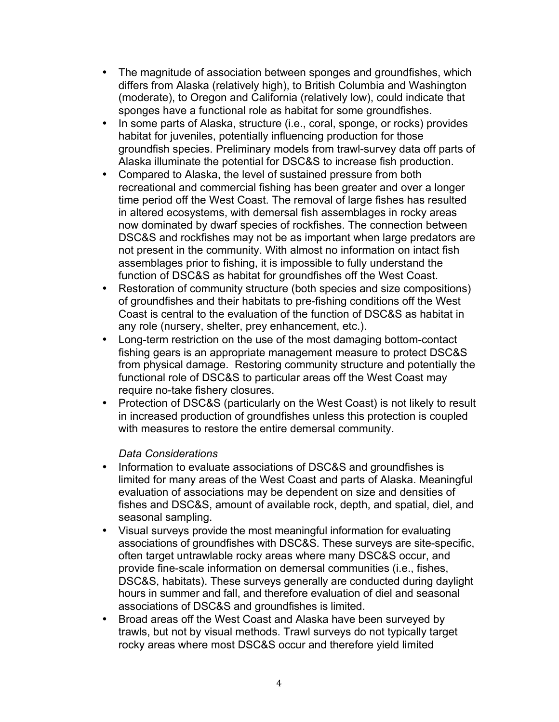- The magnitude of association between sponges and groundfishes, which differs from Alaska (relatively high), to British Columbia and Washington (moderate), to Oregon and California (relatively low), could indicate that sponges have a functional role as habitat for some groundfishes.
- In some parts of Alaska, structure (i.e., coral, sponge, or rocks) provides habitat for juveniles, potentially influencing production for those groundfish species. Preliminary models from trawl-survey data off parts of Alaska illuminate the potential for DSC&S to increase fish production.
- Compared to Alaska, the level of sustained pressure from both recreational and commercial fishing has been greater and over a longer time period off the West Coast. The removal of large fishes has resulted in altered ecosystems, with demersal fish assemblages in rocky areas now dominated by dwarf species of rockfishes. The connection between DSC&S and rockfishes may not be as important when large predators are not present in the community. With almost no information on intact fish assemblages prior to fishing, it is impossible to fully understand the function of DSC&S as habitat for groundfishes off the West Coast.
- Restoration of community structure (both species and size compositions) of groundfishes and their habitats to pre-fishing conditions off the West Coast is central to the evaluation of the function of DSC&S as habitat in any role (nursery, shelter, prey enhancement, etc.).
- Long-term restriction on the use of the most damaging bottom-contact fishing gears is an appropriate management measure to protect DSC&S from physical damage. Restoring community structure and potentially the functional role of DSC&S to particular areas off the West Coast may require no-take fishery closures.
- Protection of DSC&S (particularly on the West Coast) is not likely to result in increased production of groundfishes unless this protection is coupled with measures to restore the entire demersal community.

### *Data Considerations*

- Information to evaluate associations of DSC&S and groundfishes is limited for many areas of the West Coast and parts of Alaska. Meaningful evaluation of associations may be dependent on size and densities of fishes and DSC&S, amount of available rock, depth, and spatial, diel, and seasonal sampling.
- Visual surveys provide the most meaningful information for evaluating associations of groundfishes with DSC&S. These surveys are site-specific, often target untrawlable rocky areas where many DSC&S occur, and provide fine-scale information on demersal communities (i.e., fishes, DSC&S, habitats). These surveys generally are conducted during daylight hours in summer and fall, and therefore evaluation of diel and seasonal associations of DSC&S and groundfishes is limited.
- Broad areas off the West Coast and Alaska have been surveyed by trawls, but not by visual methods. Trawl surveys do not typically target rocky areas where most DSC&S occur and therefore yield limited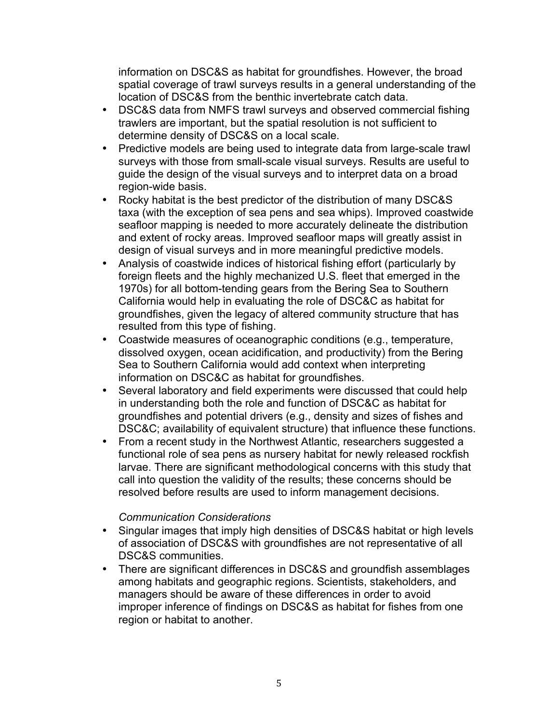information on DSC&S as habitat for groundfishes. However, the broad spatial coverage of trawl surveys results in a general understanding of the location of DSC&S from the benthic invertebrate catch data.

- DSC&S data from NMFS trawl surveys and observed commercial fishing trawlers are important, but the spatial resolution is not sufficient to determine density of DSC&S on a local scale.
- Predictive models are being used to integrate data from large-scale trawl surveys with those from small-scale visual surveys. Results are useful to guide the design of the visual surveys and to interpret data on a broad region-wide basis.
- Rocky habitat is the best predictor of the distribution of many DSC&S taxa (with the exception of sea pens and sea whips). Improved coastwide seafloor mapping is needed to more accurately delineate the distribution and extent of rocky areas. Improved seafloor maps will greatly assist in design of visual surveys and in more meaningful predictive models.
- Analysis of coastwide indices of historical fishing effort (particularly by foreign fleets and the highly mechanized U.S. fleet that emerged in the 1970s) for all bottom-tending gears from the Bering Sea to Southern California would help in evaluating the role of DSC&C as habitat for groundfishes, given the legacy of altered community structure that has resulted from this type of fishing.
- Coastwide measures of oceanographic conditions (e.g., temperature, dissolved oxygen, ocean acidification, and productivity) from the Bering Sea to Southern California would add context when interpreting information on DSC&C as habitat for groundfishes.
- Several laboratory and field experiments were discussed that could help in understanding both the role and function of DSC&C as habitat for groundfishes and potential drivers (e.g., density and sizes of fishes and DSC&C; availability of equivalent structure) that influence these functions.
- From a recent study in the Northwest Atlantic, researchers suggested a functional role of sea pens as nursery habitat for newly released rockfish larvae. There are significant methodological concerns with this study that call into question the validity of the results; these concerns should be resolved before results are used to inform management decisions.

### *Communication Considerations*

- Singular images that imply high densities of DSC&S habitat or high levels of association of DSC&S with groundfishes are not representative of all DSC&S communities.
- There are significant differences in DSC&S and groundfish assemblages among habitats and geographic regions. Scientists, stakeholders, and managers should be aware of these differences in order to avoid improper inference of findings on DSC&S as habitat for fishes from one region or habitat to another.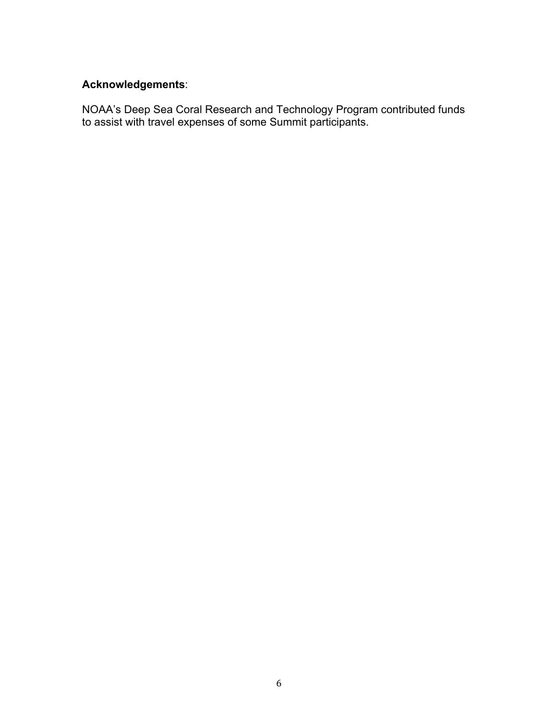## **Acknowledgements**:

NOAA's Deep Sea Coral Research and Technology Program contributed funds to assist with travel expenses of some Summit participants.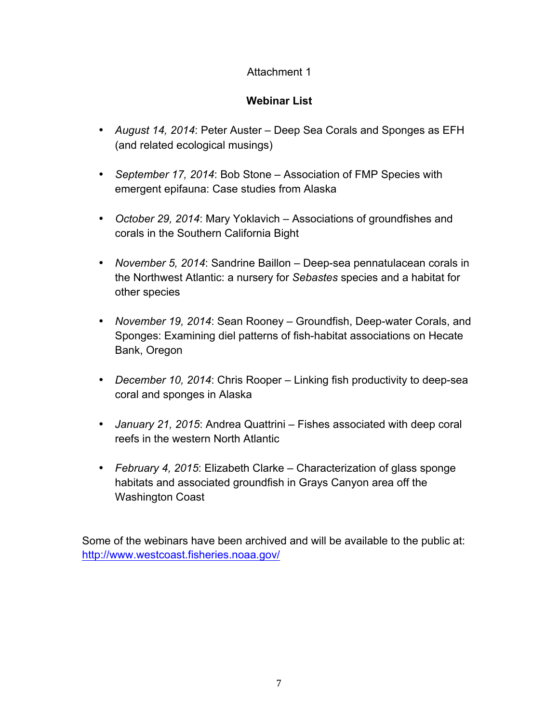## Attachment 1

## **Webinar List**

- *August 14, 2014*: Peter Auster Deep Sea Corals and Sponges as EFH (and related ecological musings)
- *September 17, 2014*: Bob Stone Association of FMP Species with emergent epifauna: Case studies from Alaska
- *October 29, 2014*: Mary Yoklavich Associations of groundfishes and corals in the Southern California Bight
- *November 5, 2014*: Sandrine Baillon Deep-sea pennatulacean corals in the Northwest Atlantic: a nursery for *Sebastes* species and a habitat for other species
- *November 19, 2014*: Sean Rooney Groundfish, Deep-water Corals, and Sponges: Examining diel patterns of fish-habitat associations on Hecate Bank, Oregon
- *December 10, 2014*: Chris Rooper Linking fish productivity to deep-sea coral and sponges in Alaska
- *January 21, 2015*: Andrea Quattrini Fishes associated with deep coral reefs in the western North Atlantic
- *February 4, 2015*: Elizabeth Clarke Characterization of glass sponge habitats and associated groundfish in Grays Canyon area off the Washington Coast

Some of the webinars have been archived and will be available to the public at: http://www.westcoast.fisheries.noaa.gov/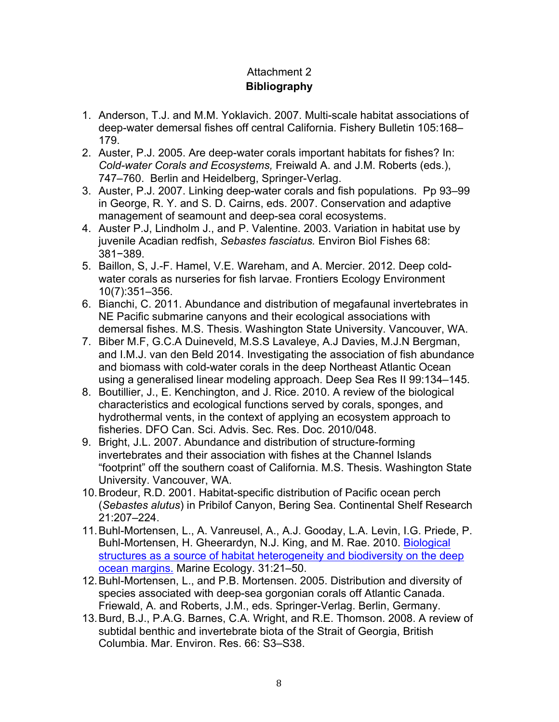# Attachment 2 **Bibliography**

- 1. Anderson, T.J. and M.M. Yoklavich. 2007. Multi-scale habitat associations of deep-water demersal fishes off central California. Fishery Bulletin 105:168– 179.
- 2. Auster, P.J. 2005. Are deep-water corals important habitats for fishes? In: *Cold-water Corals and Ecosystems,* Freiwald A. and J.M. Roberts (eds.), 747–760. Berlin and Heidelberg, Springer-Verlag.
- 3. Auster, P.J. 2007. Linking deep-water corals and fish populations. Pp 93–99 in George, R. Y. and S. D. Cairns, eds. 2007. Conservation and adaptive management of seamount and deep-sea coral ecosystems.
- 4. Auster P.J, Lindholm J., and P. Valentine. 2003. Variation in habitat use by juvenile Acadian redfish, *Sebastes fasciatus.* Environ Biol Fishes 68: 381−389.
- 5. Baillon, S, J.-F. Hamel, V.E. Wareham, and A. Mercier. 2012. Deep coldwater corals as nurseries for fish larvae. Frontiers Ecology Environment 10(7):351–356.
- 6. Bianchi, C. 2011. Abundance and distribution of megafaunal invertebrates in NE Pacific submarine canyons and their ecological associations with demersal fishes. M.S. Thesis. Washington State University. Vancouver, WA.
- 7. Biber M.F, G.C.A Duineveld, M.S.S Lavaleye, A.J Davies, M.J.N Bergman, and I.M.J. van den Beld 2014. Investigating the association of fish abundance and biomass with cold-water corals in the deep Northeast Atlantic Ocean using a generalised linear modeling approach. Deep Sea Res II 99:134–145.
- 8. Boutillier, J., E. Kenchington, and J. Rice. 2010. A review of the biological characteristics and ecological functions served by corals, sponges, and hydrothermal vents, in the context of applying an ecosystem approach to fisheries. DFO Can. Sci. Advis. Sec. Res. Doc. 2010/048.
- 9. Bright, J.L. 2007. Abundance and distribution of structure-forming invertebrates and their association with fishes at the Channel Islands "footprint" off the southern coast of California. M.S. Thesis. Washington State University. Vancouver, WA.
- 10.Brodeur, R.D. 2001. Habitat-specific distribution of Pacific ocean perch (*Sebastes alutus*) in Pribilof Canyon, Bering Sea. Continental Shelf Research 21:207–224.
- 11.Buhl-Mortensen, L., A. Vanreusel, A., A.J. Gooday, L.A. Levin, I.G. Priede, P. Buhl-Mortensen, H. Gheerardyn, N.J. King, and M. Rae. 2010. Biological structures as a source of habitat heterogeneity and biodiversity on the deep ocean margins. Marine Ecology. 31:21–50.
- 12.Buhl-Mortensen, L., and P.B. Mortensen. 2005. Distribution and diversity of species associated with deep-sea gorgonian corals off Atlantic Canada. Friewald, A. and Roberts, J.M., eds. Springer-Verlag. Berlin, Germany.
- 13.Burd, B.J., P.A.G. Barnes, C.A. Wright, and R.E. Thomson. 2008. A review of subtidal benthic and invertebrate biota of the Strait of Georgia, British Columbia. Mar. Environ. Res. 66: S3–S38.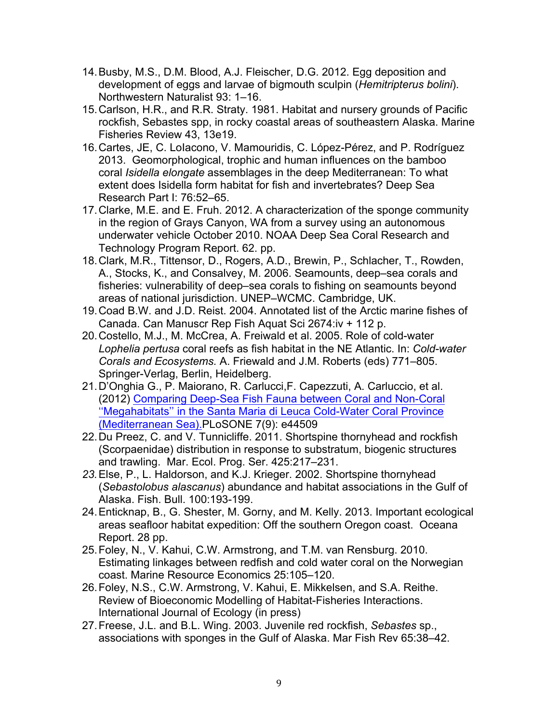- 14.Busby, M.S., D.M. Blood, A.J. Fleischer, D.G. 2012. Egg deposition and development of eggs and larvae of bigmouth sculpin (*Hemitripterus bolini*). Northwestern Naturalist 93: 1–16.
- 15.Carlson, H.R., and R.R. Straty. 1981. Habitat and nursery grounds of Pacific rockfish, Sebastes spp, in rocky coastal areas of southeastern Alaska. Marine Fisheries Review 43, 13e19.
- 16.Cartes, JE, C. LoIacono, V. Mamouridis, C. López-Pérez, and P. Rodríguez 2013. Geomorphological, trophic and human influences on the bamboo coral *Isidella elongate* assemblages in the deep Mediterranean: To what extent does Isidella form habitat for fish and invertebrates? Deep Sea Research Part I: 76:52–65.
- 17.Clarke, M.E. and E. Fruh. 2012. A characterization of the sponge community in the region of Grays Canyon, WA from a survey using an autonomous underwater vehicle October 2010. NOAA Deep Sea Coral Research and Technology Program Report. 62. pp.
- 18.Clark, M.R., Tittensor, D., Rogers, A.D., Brewin, P., Schlacher, T., Rowden, A., Stocks, K., and Consalvey, M. 2006. Seamounts, deep–sea corals and fisheries: vulnerability of deep–sea corals to fishing on seamounts beyond areas of national jurisdiction. UNEP–WCMC. Cambridge, UK.
- 19.Coad B.W. and J.D. Reist. 2004. Annotated list of the Arctic marine fishes of Canada. Can Manuscr Rep Fish Aquat Sci 2674:iv + 112 p.
- 20.Costello, M.J., M. McCrea, A. Freiwald et al. 2005. Role of cold-water *Lophelia pertusa* coral reefs as fish habitat in the NE Atlantic. In: *Cold-water Corals and Ecosystems.* A. Friewald and J.M. Roberts (eds) 771–805. Springer-Verlag, Berlin, Heidelberg.
- 21.D'Onghia G., P. Maiorano, R. Carlucci,F. Capezzuti, A. Carluccio, et al. (2012) Comparing Deep-Sea Fish Fauna between Coral and Non-Coral ''Megahabitats'' in the Santa Maria di Leuca Cold-Water Coral Province (Mediterranean Sea).PLoSONE 7(9): e44509
- 22.Du Preez, C. and V. Tunnicliffe. 2011. Shortspine thornyhead and rockfish (Scorpaenidae) distribution in response to substratum, biogenic structures and trawling. Mar. Ecol. Prog. Ser. 425:217–231.
- *23.*Else, P., L. Haldorson, and K.J. Krieger. 2002. Shortspine thornyhead (*Sebastolobus alascanus*) abundance and habitat associations in the Gulf of Alaska. Fish. Bull. 100:193-199.
- 24.Enticknap, B., G. Shester, M. Gorny, and M. Kelly. 2013. Important ecological areas seafloor habitat expedition: Off the southern Oregon coast. Oceana Report. 28 pp.
- 25.Foley, N., V. Kahui, C.W. Armstrong, and T.M. van Rensburg. 2010. Estimating linkages between redfish and cold water coral on the Norwegian coast. Marine Resource Economics 25:105–120.
- 26.Foley, N.S., C.W. Armstrong, V. Kahui, E. Mikkelsen, and S.A. Reithe. Review of Bioeconomic Modelling of Habitat-Fisheries Interactions. International Journal of Ecology (in press)
- 27.Freese, J.L. and B.L. Wing. 2003. Juvenile red rockfish, *Sebastes* sp., associations with sponges in the Gulf of Alaska. Mar Fish Rev 65:38–42.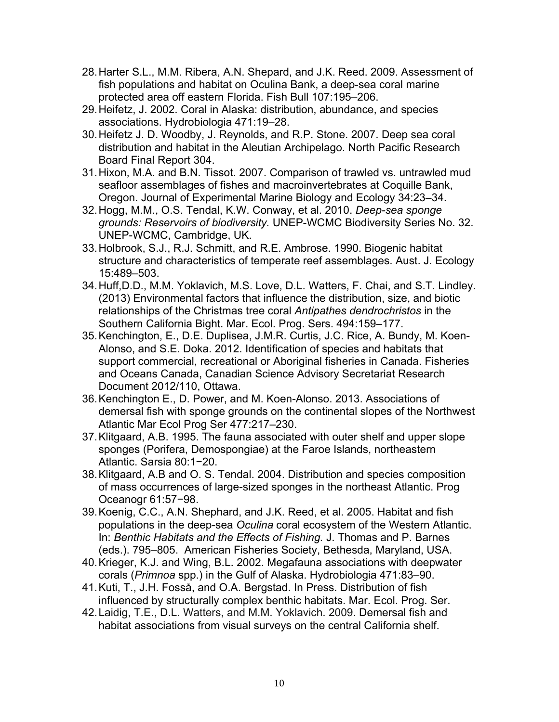- 28.Harter S.L., M.M. Ribera, A.N. Shepard, and J.K. Reed. 2009. Assessment of fish populations and habitat on Oculina Bank, a deep-sea coral marine protected area off eastern Florida. Fish Bull 107:195–206.
- 29.Heifetz, J. 2002. Coral in Alaska: distribution, abundance, and species associations. Hydrobiologia 471:19–28.
- 30.Heifetz J. D. Woodby, J. Reynolds, and R.P. Stone. 2007. Deep sea coral distribution and habitat in the Aleutian Archipelago. North Pacific Research Board Final Report 304.
- 31.Hixon, M.A. and B.N. Tissot. 2007. Comparison of trawled vs. untrawled mud seafloor assemblages of fishes and macroinvertebrates at Coquille Bank, Oregon. Journal of Experimental Marine Biology and Ecology 34:23–34.
- 32.Hogg, M.M., O.S. Tendal, K.W. Conway, et al. 2010. *Deep-sea sponge grounds: Reservoirs of biodiversity.* UNEP-WCMC Biodiversity Series No. 32. UNEP-WCMC, Cambridge, UK.
- 33.Holbrook, S.J., R.J. Schmitt, and R.E. Ambrose. 1990. Biogenic habitat structure and characteristics of temperate reef assemblages. Aust. J. Ecology 15:489–503.
- 34.Huff,D.D., M.M. Yoklavich, M.S. Love, D.L. Watters, F. Chai, and S.T. Lindley. (2013) Environmental factors that influence the distribution, size, and biotic relationships of the Christmas tree coral *Antipathes dendrochristos* in the Southern California Bight. Mar. Ecol. Prog. Sers. 494:159–177.
- 35.Kenchington, E., D.E. Duplisea, J.M.R. Curtis, J.C. Rice, A. Bundy, M. Koen-Alonso, and S.E. Doka. 2012. Identification of species and habitats that support commercial, recreational or Aboriginal fisheries in Canada. Fisheries and Oceans Canada, Canadian Science Advisory Secretariat Research Document 2012/110, Ottawa.
- 36.Kenchington E., D. Power, and M. Koen-Alonso. 2013. Associations of demersal fish with sponge grounds on the continental slopes of the Northwest Atlantic Mar Ecol Prog Ser 477:217–230.
- 37.Klitgaard, A.B. 1995. The fauna associated with outer shelf and upper slope sponges (Porifera, Demospongiae) at the Faroe Islands, northeastern Atlantic. Sarsia 80:1−20.
- 38.Klitgaard, A.B and O. S. Tendal. 2004. Distribution and species composition of mass occurrences of large-sized sponges in the northeast Atlantic. Prog Oceanogr 61:57−98.
- 39.Koenig, C.C., A.N. Shephard, and J.K. Reed, et al. 2005. Habitat and fish populations in the deep-sea *Oculina* coral ecosystem of the Western Atlantic. In: *Benthic Habitats and the Effects of Fishing.* J. Thomas and P. Barnes (eds.). 795–805. American Fisheries Society, Bethesda, Maryland, USA.
- 40.Krieger, K.J. and Wing, B.L. 2002. Megafauna associations with deepwater corals (*Primnoa* spp.) in the Gulf of Alaska. Hydrobiologia 471:83–90.
- 41.Kuti, T., J.H. Fosså, and O.A. Bergstad. In Press. Distribution of fish influenced by structurally complex benthic habitats. Mar. Ecol. Prog. Ser.
- 42.Laidig, T.E., D.L. Watters, and M.M. Yoklavich. 2009. Demersal fish and habitat associations from visual surveys on the central California shelf.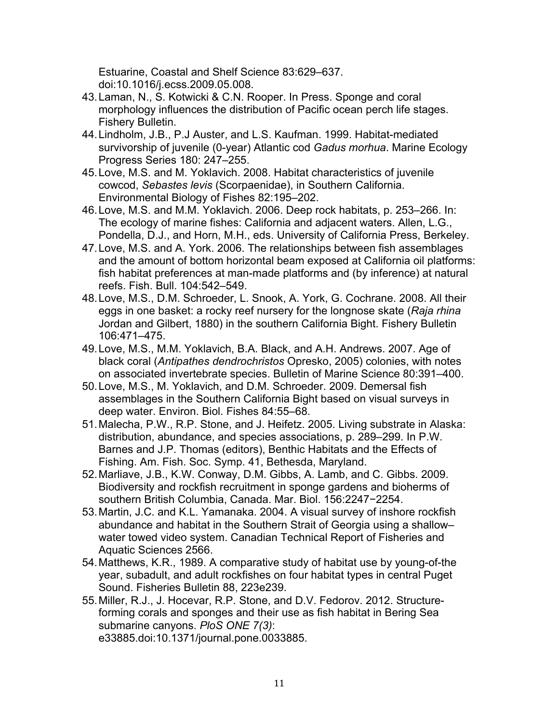Estuarine, Coastal and Shelf Science 83:629–637. doi:10.1016/j.ecss.2009.05.008.

- 43.Laman, N., S. Kotwicki & C.N. Rooper. In Press. Sponge and coral morphology influences the distribution of Pacific ocean perch life stages. Fishery Bulletin.
- 44.Lindholm, J.B., P.J Auster, and L.S. Kaufman. 1999. Habitat-mediated survivorship of juvenile (0-year) Atlantic cod *Gadus morhua*. Marine Ecology Progress Series 180: 247–255.
- 45.Love, M.S. and M. Yoklavich. 2008. Habitat characteristics of juvenile cowcod, *Sebastes levis* (Scorpaenidae), in Southern California. Environmental Biology of Fishes 82:195–202.
- 46.Love, M.S. and M.M. Yoklavich. 2006. Deep rock habitats, p. 253–266. In: The ecology of marine fishes: California and adjacent waters. Allen, L.G., Pondella, D.J., and Horn, M.H., eds. University of California Press, Berkeley.
- 47.Love, M.S. and A. York. 2006. The relationships between fish assemblages and the amount of bottom horizontal beam exposed at California oil platforms: fish habitat preferences at man-made platforms and (by inference) at natural reefs. Fish. Bull. 104:542–549.
- 48.Love, M.S., D.M. Schroeder, L. Snook, A. York, G. Cochrane. 2008. All their eggs in one basket: a rocky reef nursery for the longnose skate (*Raja rhina* Jordan and Gilbert, 1880) in the southern California Bight. Fishery Bulletin 106:471–475.
- 49.Love, M.S., M.M. Yoklavich, B.A. Black, and A.H. Andrews. 2007. Age of black coral (*Antipathes dendrochristos* Opresko, 2005) colonies, with notes on associated invertebrate species. Bulletin of Marine Science 80:391–400.
- 50.Love, M.S., M. Yoklavich, and D.M. Schroeder. 2009. Demersal fish assemblages in the Southern California Bight based on visual surveys in deep water. Environ. Biol. Fishes 84:55–68.
- 51.Malecha, P.W., R.P. Stone, and J. Heifetz. 2005. Living substrate in Alaska: distribution, abundance, and species associations, p. 289–299. In P.W. Barnes and J.P. Thomas (editors), Benthic Habitats and the Effects of Fishing. Am. Fish. Soc. Symp. 41, Bethesda, Maryland.
- 52.Marliave, J.B., K.W. Conway, D.M. Gibbs, A. Lamb, and C. Gibbs. 2009. Biodiversity and rockfish recruitment in sponge gardens and bioherms of southern British Columbia, Canada. Mar. Biol. 156:2247−2254.
- 53.Martin, J.C. and K.L. Yamanaka. 2004. A visual survey of inshore rockfish abundance and habitat in the Southern Strait of Georgia using a shallow– water towed video system. Canadian Technical Report of Fisheries and Aquatic Sciences 2566.
- 54.Matthews, K.R., 1989. A comparative study of habitat use by young-of-the year, subadult, and adult rockfishes on four habitat types in central Puget Sound. Fisheries Bulletin 88, 223e239.
- 55.Miller, R.J., J. Hocevar, R.P. Stone, and D.V. Fedorov. 2012. Structureforming corals and sponges and their use as fish habitat in Bering Sea submarine canyons. *PloS ONE 7(3)*: e33885.doi:10.1371/journal.pone.0033885.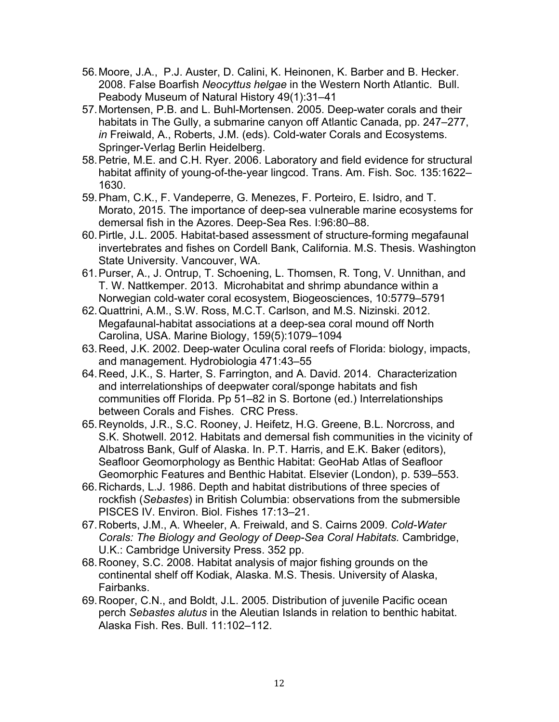- 56.Moore, J.A., P.J. Auster, D. Calini, K. Heinonen, K. Barber and B. Hecker. 2008. False Boarfish *Neocyttus helgae* in the Western North Atlantic. Bull. Peabody Museum of Natural History 49(1):31–41
- 57.Mortensen, P.B. and L. Buhl-Mortensen. 2005. Deep-water corals and their habitats in The Gully, a submarine canyon off Atlantic Canada, pp. 247–277, *in* Freiwald, A., Roberts, J.M. (eds). Cold-water Corals and Ecosystems. Springer-Verlag Berlin Heidelberg.
- 58.Petrie, M.E. and C.H. Ryer. 2006. Laboratory and field evidence for structural habitat affinity of young-of-the-year lingcod. Trans. Am. Fish. Soc. 135:1622– 1630.
- 59.Pham, C.K., F. Vandeperre, G. Menezes, F. Porteiro, E. Isidro, and T. Morato, 2015. The importance of deep-sea vulnerable marine ecosystems for demersal fish in the Azores. Deep-Sea Res. I:96:80–88.
- 60.Pirtle, J.L. 2005. Habitat-based assessment of structure-forming megafaunal invertebrates and fishes on Cordell Bank, California. M.S. Thesis. Washington State University. Vancouver, WA.
- 61.Purser, A., J. Ontrup, T. Schoening, L. Thomsen, R. Tong, V. Unnithan, and T. W. Nattkemper. 2013. Microhabitat and shrimp abundance within a Norwegian cold-water coral ecosystem, Biogeosciences, 10:5779–5791
- 62.Quattrini, A.M., S.W. Ross, M.C.T. Carlson, and M.S. Nizinski. 2012. Megafaunal-habitat associations at a deep-sea coral mound off North Carolina, USA. Marine Biology, 159(5):1079–1094
- 63.Reed, J.K. 2002. Deep-water Oculina coral reefs of Florida: biology, impacts, and management. Hydrobiologia 471:43–55
- 64.Reed, J.K., S. Harter, S. Farrington, and A. David. 2014. Characterization and interrelationships of deepwater coral/sponge habitats and fish communities off Florida. Pp 51–82 in S. Bortone (ed.) Interrelationships between Corals and Fishes. CRC Press.
- 65.Reynolds, J.R., S.C. Rooney, J. Heifetz, H.G. Greene, B.L. Norcross, and S.K. Shotwell. 2012. Habitats and demersal fish communities in the vicinity of Albatross Bank, Gulf of Alaska. In. P.T. Harris, and E.K. Baker (editors), Seafloor Geomorphology as Benthic Habitat: GeoHab Atlas of Seafloor Geomorphic Features and Benthic Habitat. Elsevier (London), p. 539–553.
- 66.Richards, L.J. 1986. Depth and habitat distributions of three species of rockfish (*Sebastes*) in British Columbia: observations from the submersible PISCES IV. Environ. Biol. Fishes 17:13–21.
- 67.Roberts, J.M., A. Wheeler, A. Freiwald, and S. Cairns 2009. *Cold-Water Corals: The Biology and Geology of Deep-Sea Coral Habitats.* Cambridge, U.K.: Cambridge University Press. 352 pp.
- 68.Rooney, S.C. 2008. Habitat analysis of major fishing grounds on the continental shelf off Kodiak, Alaska. M.S. Thesis. University of Alaska, Fairbanks.
- 69.Rooper, C.N., and Boldt, J.L. 2005. Distribution of juvenile Pacific ocean perch *Sebastes alutus* in the Aleutian Islands in relation to benthic habitat. Alaska Fish. Res. Bull. 11:102–112.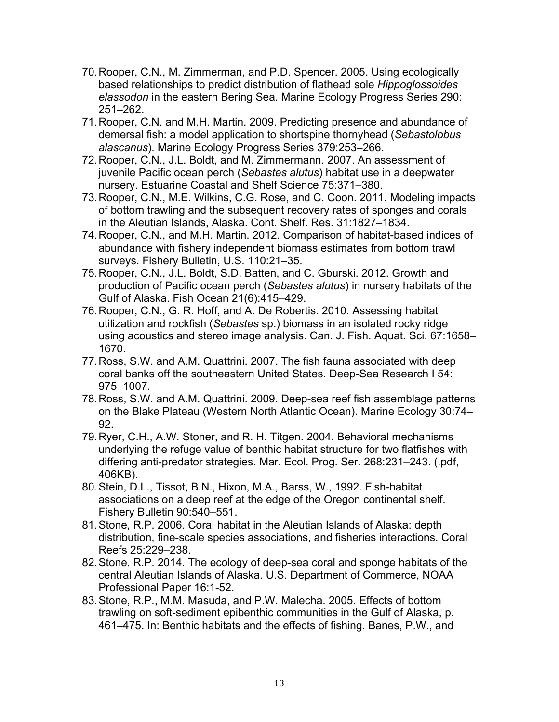- 70.Rooper, C.N., M. Zimmerman, and P.D. Spencer. 2005. Using ecologically based relationships to predict distribution of flathead sole *Hippoglossoides elassodon* in the eastern Bering Sea. Marine Ecology Progress Series 290: 251–262.
- 71.Rooper, C.N. and M.H. Martin. 2009. Predicting presence and abundance of demersal fish: a model application to shortspine thornyhead (*Sebastolobus alascanus*). Marine Ecology Progress Series 379:253–266.
- 72.Rooper, C.N., J.L. Boldt, and M. Zimmermann. 2007. An assessment of juvenile Pacific ocean perch (*Sebastes alutus*) habitat use in a deepwater nursery. Estuarine Coastal and Shelf Science 75:371–380.
- 73.Rooper, C.N., M.E. Wilkins, C.G. Rose, and C. Coon. 2011. Modeling impacts of bottom trawling and the subsequent recovery rates of sponges and corals in the Aleutian Islands, Alaska. Cont. Shelf. Res. 31:1827–1834.
- 74.Rooper, C.N., and M.H. Martin. 2012. Comparison of habitat-based indices of abundance with fishery independent biomass estimates from bottom trawl surveys. Fishery Bulletin, U.S. 110:21–35.
- 75.Rooper, C.N., J.L. Boldt, S.D. Batten, and C. Gburski. 2012. Growth and production of Pacific ocean perch (*Sebastes alutus*) in nursery habitats of the Gulf of Alaska. Fish Ocean 21(6):415–429.
- 76.Rooper, C.N., G. R. Hoff, and A. De Robertis. 2010. Assessing habitat utilization and rockfish (*Sebastes* sp.) biomass in an isolated rocky ridge using acoustics and stereo image analysis. Can. J. Fish. Aquat. Sci. 67:1658– 1670.
- 77.Ross, S.W. and A.M. Quattrini. 2007. The fish fauna associated with deep coral banks off the southeastern United States. Deep-Sea Research I 54: 975–1007.
- 78.Ross, S.W. and A.M. Quattrini. 2009. Deep-sea reef fish assemblage patterns on the Blake Plateau (Western North Atlantic Ocean). Marine Ecology 30:74– 92.
- 79.Ryer, C.H., A.W. Stoner, and R. H. Titgen. 2004. Behavioral mechanisms underlying the refuge value of benthic habitat structure for two flatfishes with differing anti-predator strategies. Mar. Ecol. Prog. Ser. 268:231–243. (.pdf, 406KB).
- 80.Stein, D.L., Tissot, B.N., Hixon, M.A., Barss, W., 1992. Fish-habitat associations on a deep reef at the edge of the Oregon continental shelf. Fishery Bulletin 90:540–551.
- 81.Stone, R.P. 2006. Coral habitat in the Aleutian Islands of Alaska: depth distribution, fine-scale species associations, and fisheries interactions. Coral Reefs 25:229–238.
- 82.Stone, R.P. 2014. The ecology of deep-sea coral and sponge habitats of the central Aleutian Islands of Alaska. U.S. Department of Commerce, NOAA Professional Paper 16:1-52.
- 83.Stone, R.P., M.M. Masuda, and P.W. Malecha. 2005. Effects of bottom trawling on soft-sediment epibenthic communities in the Gulf of Alaska, p. 461–475. In: Benthic habitats and the effects of fishing. Banes, P.W., and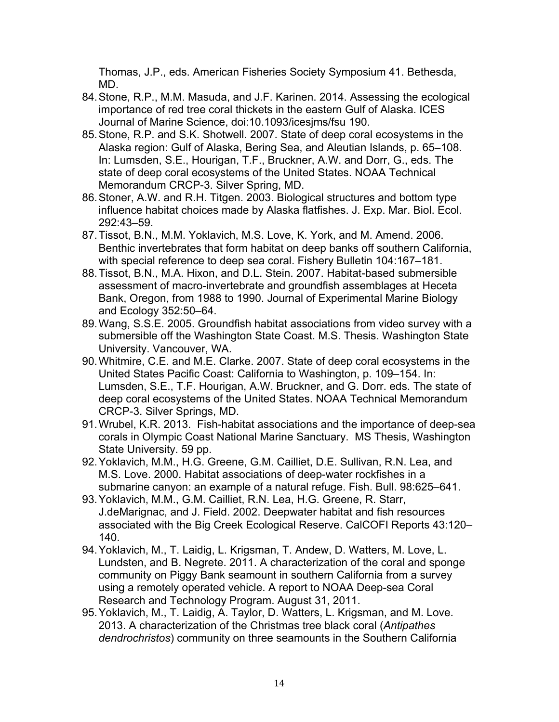Thomas, J.P., eds. American Fisheries Society Symposium 41. Bethesda, MD.

- 84.Stone, R.P., M.M. Masuda, and J.F. Karinen. 2014. Assessing the ecological importance of red tree coral thickets in the eastern Gulf of Alaska. ICES Journal of Marine Science, doi:10.1093/icesjms/fsu 190.
- 85.Stone, R.P. and S.K. Shotwell. 2007. State of deep coral ecosystems in the Alaska region: Gulf of Alaska, Bering Sea, and Aleutian Islands, p. 65–108. In: Lumsden, S.E., Hourigan, T.F., Bruckner, A.W. and Dorr, G., eds. The state of deep coral ecosystems of the United States. NOAA Technical Memorandum CRCP-3. Silver Spring, MD.
- 86.Stoner, A.W. and R.H. Titgen. 2003. Biological structures and bottom type influence habitat choices made by Alaska flatfishes. J. Exp. Mar. Biol. Ecol. 292:43–59.
- 87.Tissot, B.N., M.M. Yoklavich, M.S. Love, K. York, and M. Amend. 2006. Benthic invertebrates that form habitat on deep banks off southern California, with special reference to deep sea coral. Fishery Bulletin 104:167–181.
- 88.Tissot, B.N., M.A. Hixon, and D.L. Stein. 2007. Habitat-based submersible assessment of macro-invertebrate and groundfish assemblages at Heceta Bank, Oregon, from 1988 to 1990. Journal of Experimental Marine Biology and Ecology 352:50–64.
- 89.Wang, S.S.E. 2005. Groundfish habitat associations from video survey with a submersible off the Washington State Coast. M.S. Thesis. Washington State University. Vancouver, WA.
- 90.Whitmire, C.E. and M.E. Clarke. 2007. State of deep coral ecosystems in the United States Pacific Coast: California to Washington, p. 109–154. In: Lumsden, S.E., T.F. Hourigan, A.W. Bruckner, and G. Dorr. eds. The state of deep coral ecosystems of the United States. NOAA Technical Memorandum CRCP-3. Silver Springs, MD.
- 91.Wrubel, K.R. 2013. Fish-habitat associations and the importance of deep-sea corals in Olympic Coast National Marine Sanctuary. MS Thesis, Washington State University. 59 pp.
- 92.Yoklavich, M.M., H.G. Greene, G.M. Cailliet, D.E. Sullivan, R.N. Lea, and M.S. Love. 2000. Habitat associations of deep-water rockfishes in a submarine canyon: an example of a natural refuge. Fish. Bull. 98:625–641.
- 93.Yoklavich, M.M., G.M. Cailliet, R.N. Lea, H.G. Greene, R. Starr, J.deMarignac, and J. Field. 2002. Deepwater habitat and fish resources associated with the Big Creek Ecological Reserve. CalCOFI Reports 43:120– 140.
- 94.Yoklavich, M., T. Laidig, L. Krigsman, T. Andew, D. Watters, M. Love, L. Lundsten, and B. Negrete. 2011. A characterization of the coral and sponge community on Piggy Bank seamount in southern California from a survey using a remotely operated vehicle. A report to NOAA Deep-sea Coral Research and Technology Program. August 31, 2011.
- 95.Yoklavich, M., T. Laidig, A. Taylor, D. Watters, L. Krigsman, and M. Love. 2013. A characterization of the Christmas tree black coral (*Antipathes dendrochristos*) community on three seamounts in the Southern California